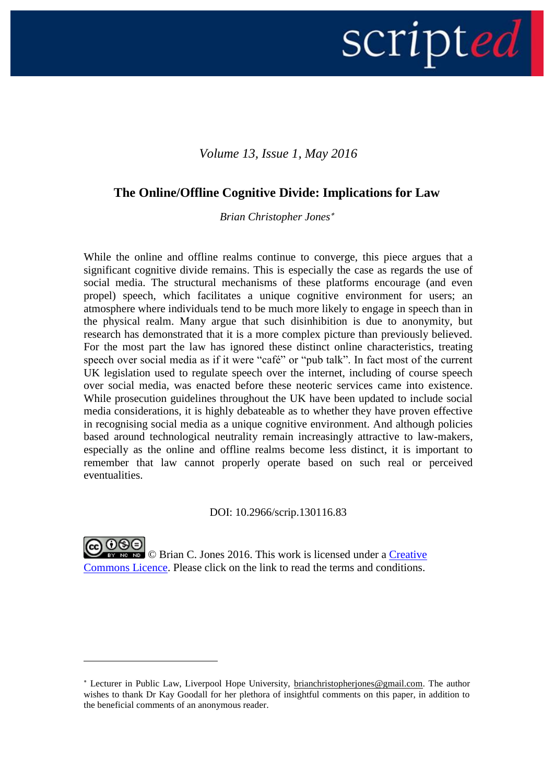# scripted |

## *Volume 13, Issue 1, May 2016*

## **The Online/Offline Cognitive Divide: Implications for Law**

*Brian Christopher Jones*

While the online and offline realms continue to converge, this piece argues that a significant cognitive divide remains. This is especially the case as regards the use of social media. The structural mechanisms of these platforms encourage (and even propel) speech, which facilitates a unique cognitive environment for users; an atmosphere where individuals tend to be much more likely to engage in speech than in the physical realm. Many argue that such disinhibition is due to anonymity, but research has demonstrated that it is a more complex picture than previously believed. For the most part the law has ignored these distinct online characteristics, treating speech over social media as if it were "café" or "pub talk". In fact most of the current UK legislation used to regulate speech over the internet, including of course speech over social media, was enacted before these neoteric services came into existence. While prosecution guidelines throughout the UK have been updated to include social media considerations, it is highly debateable as to whether they have proven effective in recognising social media as a unique cognitive environment. And although policies based around technological neutrality remain increasingly attractive to law-makers, especially as the online and offline realms become less distinct, it is important to remember that law cannot properly operate based on such real or perceived eventualities.

#### DOI: 10.2966/scrip.130116.83

© Brian C. Jones 2016. This work is licensed under a [Creative](http://creativecommons.org/licenses/by-nc-nd/2.5/scotland/)  [Commons Licence.](http://creativecommons.org/licenses/by-nc-nd/2.5/scotland/) Please click on the link to read the terms and conditions.

Lecturer in Public Law, Liverpool Hope University, [brianchristopherjones@gmail.com.](mailto:brianchristopherjones@gmail.com) The author wishes to thank Dr Kay Goodall for her plethora of insightful comments on this paper, in addition to the beneficial comments of an anonymous reader.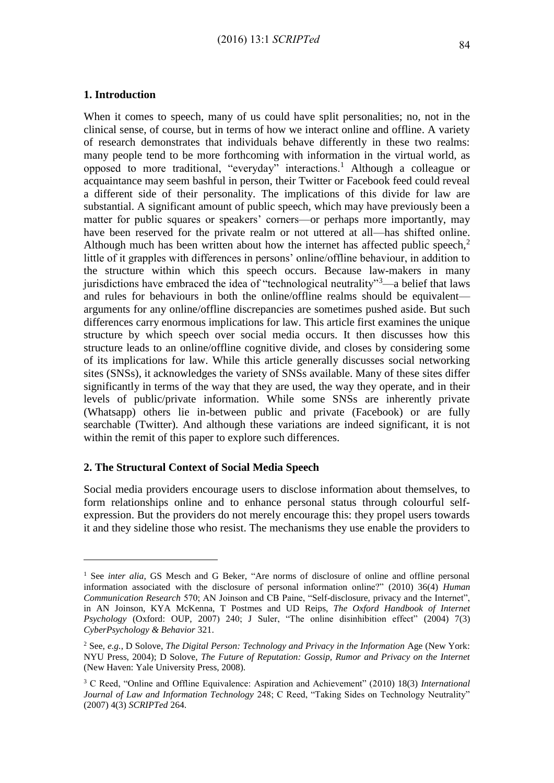#### **1. Introduction**

<u>.</u>

When it comes to speech, many of us could have split personalities; no, not in the clinical sense, of course, but in terms of how we interact online and offline. A variety of research demonstrates that individuals behave differently in these two realms: many people tend to be more forthcoming with information in the virtual world, as opposed to more traditional, "everyday" interactions.<sup>1</sup> Although a colleague or acquaintance may seem bashful in person, their Twitter or Facebook feed could reveal a different side of their personality. The implications of this divide for law are substantial. A significant amount of public speech, which may have previously been a matter for public squares or speakers' corners—or perhaps more importantly, may have been reserved for the private realm or not uttered at all—has shifted online. Although much has been written about how the internet has affected public speech, $2$ little of it grapples with differences in persons' online/offline behaviour, in addition to the structure within which this speech occurs. Because law-makers in many jurisdictions have embraced the idea of "technological neutrality"<sup>3</sup>—a belief that laws and rules for behaviours in both the online/offline realms should be equivalent arguments for any online/offline discrepancies are sometimes pushed aside. But such differences carry enormous implications for law. This article first examines the unique structure by which speech over social media occurs. It then discusses how this structure leads to an online/offline cognitive divide, and closes by considering some of its implications for law. While this article generally discusses social networking sites (SNSs), it acknowledges the variety of SNSs available. Many of these sites differ significantly in terms of the way that they are used, the way they operate, and in their levels of public/private information. While some SNSs are inherently private (Whatsapp) others lie in-between public and private (Facebook) or are fully searchable (Twitter). And although these variations are indeed significant, it is not within the remit of this paper to explore such differences.

#### **2. The Structural Context of Social Media Speech**

Social media providers encourage users to disclose information about themselves, to form relationships online and to enhance personal status through colourful selfexpression. But the providers do not merely encourage this: they propel users towards it and they sideline those who resist. The mechanisms they use enable the providers to

<sup>&</sup>lt;sup>1</sup> See *inter alia*, GS Mesch and G Beker, "Are norms of disclosure of online and offline personal information associated with the disclosure of personal information online?" (2010) 36(4) *Human Communication Research* 570; AN Joinson and CB Paine, "Self-disclosure, privacy and the Internet", in AN Joinson, KYA McKenna, T Postmes and UD Reips, *The Oxford Handbook of Internet Psychology* (Oxford: OUP, 2007) 240; J Suler, "The online disinhibition effect" (2004) 7(3) *CyberPsychology & Behavior* 321.

<sup>2</sup> See, *e.g.*, D Solove, *The Digital Person: Technology and Privacy in the Information* Age (New York: NYU Press, 2004); D Solove, *The Future of Reputation: Gossip, Rumor and Privacy on the Internet* (New Haven: Yale University Press, 2008).

<sup>3</sup> C Reed, "Online and Offline Equivalence: Aspiration and Achievement" (2010) 18(3) *International Journal of Law and Information Technology* 248; C Reed, "Taking Sides on Technology Neutrality" (2007) 4(3) *SCRIPTed* 264.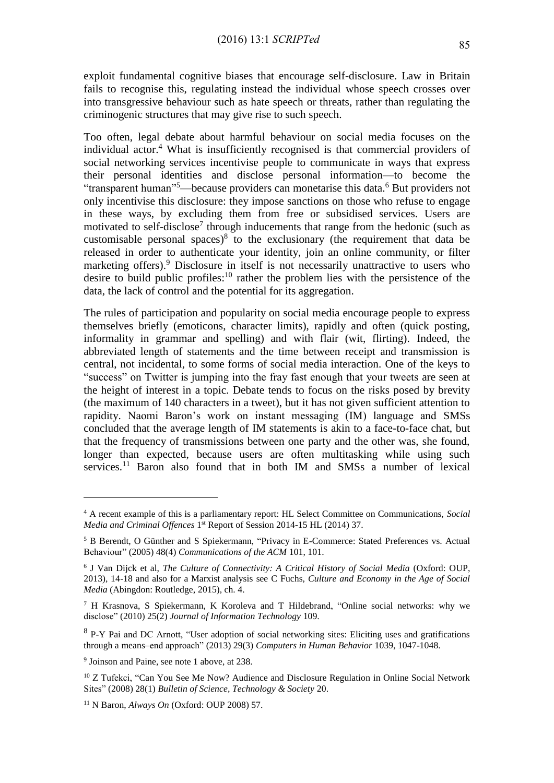exploit fundamental cognitive biases that encourage self-disclosure. Law in Britain fails to recognise this, regulating instead the individual whose speech crosses over into transgressive behaviour such as hate speech or threats, rather than regulating the criminogenic structures that may give rise to such speech.

Too often, legal debate about harmful behaviour on social media focuses on the individual actor.<sup>4</sup> What is insufficiently recognised is that commercial providers of social networking services incentivise people to communicate in ways that express their personal identities and disclose personal information—to become the "transparent human"<sup>5</sup>—because providers can monetarise this data.<sup>6</sup> But providers not only incentivise this disclosure: they impose sanctions on those who refuse to engage in these ways, by excluding them from free or subsidised services. Users are motivated to self-disclose<sup>7</sup> through inducements that range from the hedonic (such as customisable personal spaces) $8$  to the exclusionary (the requirement that data be released in order to authenticate your identity, join an online community, or filter marketing offers).<sup>9</sup> Disclosure in itself is not necessarily unattractive to users who desire to build public profiles:<sup>10</sup> rather the problem lies with the persistence of the data, the lack of control and the potential for its aggregation.

The rules of participation and popularity on social media encourage people to express themselves briefly (emoticons, character limits), rapidly and often (quick posting, informality in grammar and spelling) and with flair (wit, flirting). Indeed, the abbreviated length of statements and the time between receipt and transmission is central, not incidental, to some forms of social media interaction. One of the keys to "success" on Twitter is jumping into the fray fast enough that your tweets are seen at the height of interest in a topic. Debate tends to focus on the risks posed by brevity (the maximum of 140 characters in a tweet), but it has not given sufficient attention to rapidity. Naomi Baron's work on instant messaging (IM) language and SMSs concluded that the average length of IM statements is akin to a face-to-face chat, but that the frequency of transmissions between one party and the other was, she found, longer than expected, because users are often multitasking while using such services.<sup>11</sup> Baron also found that in both IM and SMSs a number of lexical

<sup>4</sup> A recent example of this is a parliamentary report: HL Select Committee on Communications, *Social Media and Criminal Offences* 1 st Report of Session 2014-15 HL (2014) 37.

<sup>5</sup> B Berendt, O Günther and S Spiekermann, "Privacy in E-Commerce: Stated Preferences vs. Actual Behaviour" (2005) 48(4) *Communications of the ACM* 101, 101.

<sup>6</sup> J Van Dijck et al, *The Culture of Connectivity: A Critical History of Social Media* (Oxford: OUP, 2013), 14-18 and also for a Marxist analysis see C Fuchs*, Culture and Economy in the Age of Social Media* (Abingdon: Routledge, 2015), ch. 4.

<sup>7</sup> H Krasnova, S Spiekermann, K Koroleva and T Hildebrand, "Online social networks: why we disclose" (2010) 25(2) *Journal of Information Technology* 109.

<sup>&</sup>lt;sup>8</sup> P-Y Pai and DC Arnott, "User adoption of social networking sites: Eliciting uses and gratifications through a means–end approach" (2013) 29(3) *Computers in Human Behavior* 1039, 1047-1048.

<sup>&</sup>lt;sup>9</sup> Joinson and Paine, see note 1 above, at 238.

<sup>&</sup>lt;sup>10</sup> Z Tufekci, "Can You See Me Now? Audience and Disclosure Regulation in Online Social Network Sites" (2008) 28(1) *Bulletin of Science, Technology & Society* 20.

<sup>11</sup> N Baron, *Always On* (Oxford: OUP 2008) 57.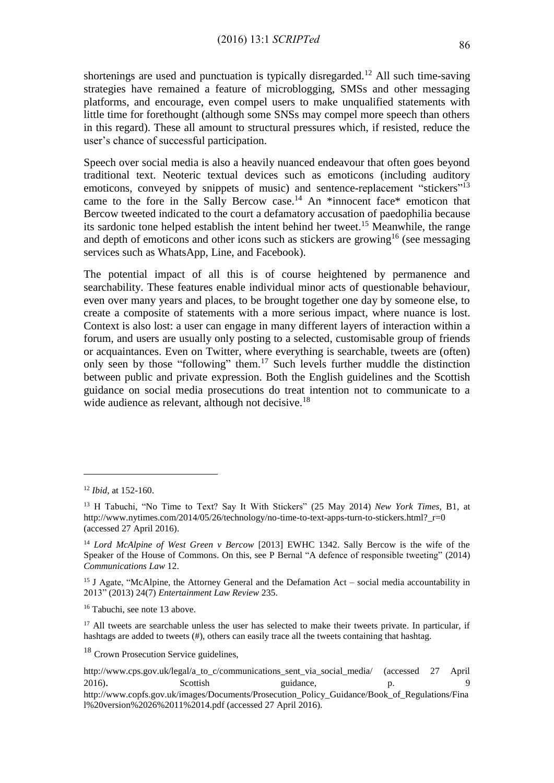shortenings are used and punctuation is typically disregarded.<sup>12</sup> All such time-saving strategies have remained a feature of microblogging, SMSs and other messaging platforms, and encourage, even compel users to make unqualified statements with little time for forethought (although some SNSs may compel more speech than others in this regard). These all amount to structural pressures which, if resisted, reduce the user's chance of successful participation.

Speech over social media is also a heavily nuanced endeavour that often goes beyond traditional text. Neoteric textual devices such as emoticons (including auditory emoticons, conveyed by snippets of music) and sentence-replacement "stickers"<sup>13</sup> came to the fore in the Sally Bercow case.<sup>14</sup> An \*innocent face\* emoticon that Bercow tweeted indicated to the court a defamatory accusation of paedophilia because its sardonic tone helped establish the intent behind her tweet.<sup>15</sup> Meanwhile, the range and depth of emoticons and other icons such as stickers are growing<sup>16</sup> (see messaging services such as WhatsApp, Line, and Facebook).

The potential impact of all this is of course heightened by permanence and searchability. These features enable individual minor acts of questionable behaviour, even over many years and places, to be brought together one day by someone else, to create a composite of statements with a more serious impact, where nuance is lost. Context is also lost: a user can engage in many different layers of interaction within a forum, and users are usually only posting to a selected, customisable group of friends or acquaintances. Even on Twitter, where everything is searchable, tweets are (often) only seen by those "following" them.<sup>17</sup> Such levels further muddle the distinction between public and private expression. Both the English guidelines and the Scottish guidance on social media prosecutions do treat intention not to communicate to a wide audience as relevant, although not decisive.<sup>18</sup>

1

<sup>18</sup> Crown Prosecution Service guidelines,

<sup>12</sup> *Ibid*, at 152-160.

<sup>13</sup> H Tabuchi, "No Time to Text? Say It With Stickers" (25 May 2014) *New York Times*, B1, at [http://www.nytimes.com/2014/05/26/technology/no-time-to-text-apps-turn-to-stickers.html?\\_r=0](http://www.nytimes.com/2014/05/26/technology/no-time-to-text-apps-turn-to-stickers.html?_r=0) (accessed 27 April 2016).

<sup>14</sup> *Lord McAlpine of West Green v Bercow* [2013] EWHC 1342. Sally Bercow is the wife of the Speaker of the House of Commons. On this, see P Bernal "A defence of responsible tweeting" (2014) *Communications Law* 12.

<sup>&</sup>lt;sup>15</sup> J Agate, "McAlpine, the Attorney General and the Defamation Act – social media accountability in 2013" (2013) 24(7) *Entertainment Law Review* 235.

<sup>16</sup> Tabuchi, see note 13 above.

<sup>&</sup>lt;sup>17</sup> All tweets are searchable unless the user has selected to make their tweets private. In particular, if hashtags are added to tweets (#), others can easily trace all the tweets containing that hashtag.

[http://www.cps.gov.uk/legal/a\\_to\\_c/communications\\_sent\\_via\\_social\\_media/](http://www.cps.gov.uk/legal/a_to_c/communications_sent_via_social_media/) (accessed 27 April 2016). Scottish guidance, p. 9

[http://www.copfs.gov.uk/images/Documents/Prosecution\\_Policy\\_Guidance/Book\\_of\\_Regulations/Fina](http://www.copfs.gov.uk/images/Documents/Prosecution_Policy_Guidance/Book_of_Regulations/Final%20version%2026%2011%2014.pdf) [l%20version%2026%2011%2014.pdf](http://www.copfs.gov.uk/images/Documents/Prosecution_Policy_Guidance/Book_of_Regulations/Final%20version%2026%2011%2014.pdf) (accessed 27 April 2016).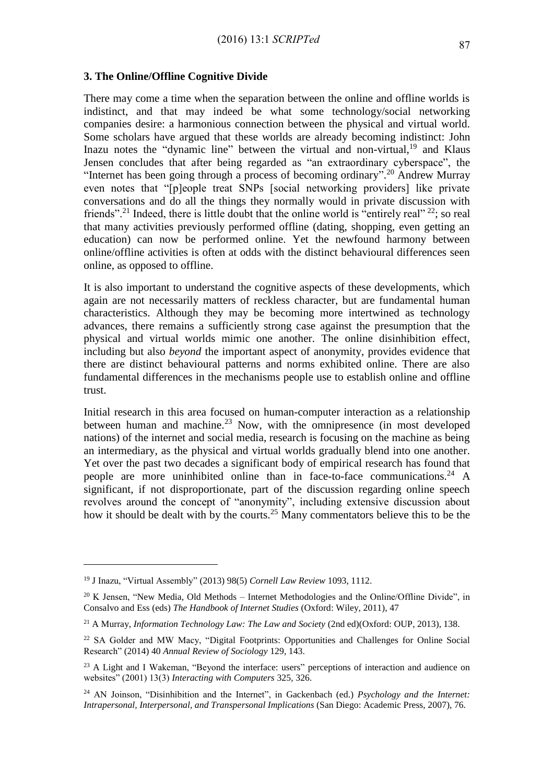#### **3. The Online/Offline Cognitive Divide**

There may come a time when the separation between the online and offline worlds is indistinct, and that may indeed be what some technology/social networking companies desire: a harmonious connection between the physical and virtual world. Some scholars have argued that these worlds are already becoming indistinct: John Inazu notes the "dynamic line" between the virtual and non-virtual,<sup>19</sup> and Klaus Jensen concludes that after being regarded as "an extraordinary cyberspace", the "Internet has been going through a process of becoming ordinary".<sup>20</sup> Andrew Murray even notes that "[p]eople treat SNPs [social networking providers] like private conversations and do all the things they normally would in private discussion with friends"<sup>21</sup> Indeed, there is little doubt that the online world is "entirely real" <sup>22</sup>; so real that many activities previously performed offline (dating, shopping, even getting an education) can now be performed online. Yet the newfound harmony between online/offline activities is often at odds with the distinct behavioural differences seen online, as opposed to offline.

It is also important to understand the cognitive aspects of these developments, which again are not necessarily matters of reckless character, but are fundamental human characteristics. Although they may be becoming more intertwined as technology advances, there remains a sufficiently strong case against the presumption that the physical and virtual worlds mimic one another. The online disinhibition effect, including but also *beyond* the important aspect of anonymity, provides evidence that there are distinct behavioural patterns and norms exhibited online. There are also fundamental differences in the mechanisms people use to establish online and offline trust.

Initial research in this area focused on human-computer interaction as a relationship between human and machine.<sup>23</sup> Now, with the omnipresence (in most developed nations) of the internet and social media, research is focusing on the machine as being an intermediary, as the physical and virtual worlds gradually blend into one another. Yet over the past two decades a significant body of empirical research has found that people are more uninhibited online than in face-to-face communications.<sup>24</sup> A significant, if not disproportionate, part of the discussion regarding online speech revolves around the concept of "anonymity", including extensive discussion about how it should be dealt with by the courts.<sup>25</sup> Many commentators believe this to be the

<sup>19</sup> J Inazu, "Virtual Assembly" (2013) 98(5) *Cornell Law Review* 1093, 1112.

 $20$  K Jensen, "New Media, Old Methods – Internet Methodologies and the Online/Offline Divide", in Consalvo and Ess (eds) *The Handbook of Internet Studies* (Oxford: Wiley, 2011), 47

<sup>21</sup> A Murray, *Information Technology Law: The Law and Society* (2nd ed)(Oxford: OUP, 2013), 138.

<sup>&</sup>lt;sup>22</sup> SA Golder and MW Macy, "Digital Footprints: Opportunities and Challenges for Online Social Research" (2014) 40 *Annual Review of Sociology* 129, 143.

<sup>&</sup>lt;sup>23</sup> A Light and I Wakeman, "Beyond the interface: users" perceptions of interaction and audience on websites" (2001) 13(3) *Interacting with Computers* 325, 326.

<sup>24</sup> AN Joinson, "Disinhibition and the Internet", in Gackenbach (ed.) *Psychology and the Internet: Intrapersonal, Interpersonal, and Transpersonal Implications* (San Diego: Academic Press, 2007), 76.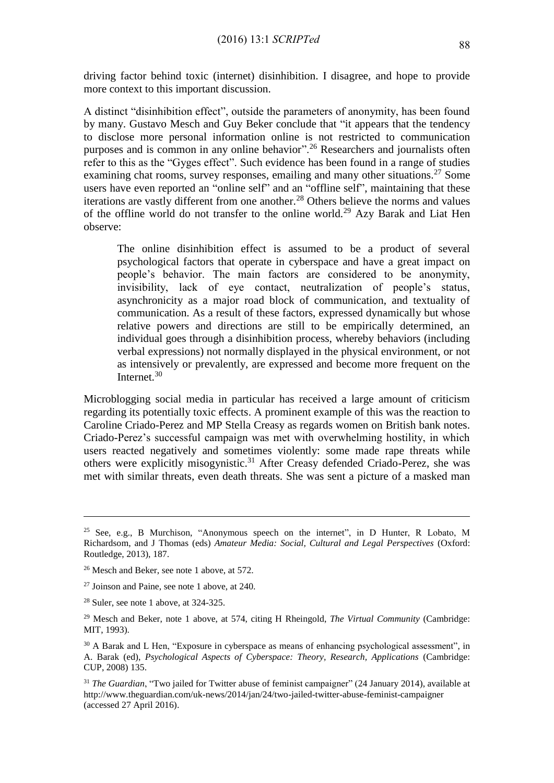driving factor behind toxic (internet) disinhibition. I disagree, and hope to provide more context to this important discussion.

A distinct "disinhibition effect", outside the parameters of anonymity, has been found by many. Gustavo Mesch and Guy Beker conclude that "it appears that the tendency to disclose more personal information online is not restricted to communication purposes and is common in any online behavior".<sup>26</sup> Researchers and journalists often refer to this as the "Gyges effect". Such evidence has been found in a range of studies examining chat rooms, survey responses, emailing and many other situations.<sup>27</sup> Some users have even reported an "online self" and an "offline self", maintaining that these iterations are vastly different from one another.<sup>28</sup> Others believe the norms and values of the offline world do not transfer to the online world.<sup>29</sup> Azy Barak and Liat Hen observe:

The online disinhibition effect is assumed to be a product of several psychological factors that operate in cyberspace and have a great impact on people's behavior. The main factors are considered to be anonymity, invisibility, lack of eye contact, neutralization of people's status, asynchronicity as a major road block of communication, and textuality of communication. As a result of these factors, expressed dynamically but whose relative powers and directions are still to be empirically determined, an individual goes through a disinhibition process, whereby behaviors (including verbal expressions) not normally displayed in the physical environment, or not as intensively or prevalently, are expressed and become more frequent on the Internet.<sup>30</sup>

Microblogging social media in particular has received a large amount of criticism regarding its potentially toxic effects. A prominent example of this was the reaction to Caroline Criado-Perez and MP Stella Creasy as regards women on British bank notes. Criado-Perez's successful campaign was met with overwhelming hostility, in which users reacted negatively and sometimes violently: some made rape threats while others were explicitly misogynistic.<sup>31</sup> After Creasy defended Criado-Perez, she was met with similar threats, even death threats. She was sent a picture of a masked man

<sup>&</sup>lt;sup>25</sup> See, e.g., B Murchison, "Anonymous speech on the internet", in D Hunter, R Lobato, M Richardsom, and J Thomas (eds) *Amateur Media: Social, Cultural and Legal Perspectives* (Oxford: Routledge, 2013), 187.

<sup>&</sup>lt;sup>26</sup> Mesch and Beker, see note 1 above, at 572.

<sup>27</sup> Joinson and Paine, see note 1 above, at 240.

 $28$  Suler, see note 1 above, at 324-325.

<sup>29</sup> Mesch and Beker, note 1 above, at 574, citing H Rheingold, *The Virtual Community* (Cambridge: MIT, 1993).

<sup>&</sup>lt;sup>30</sup> A Barak and L Hen, "Exposure in cyberspace as means of enhancing psychological assessment", in A. Barak (ed), *Psychological Aspects of Cyberspace: Theory, Research, Applications* (Cambridge: CUP, 2008) 135.

<sup>31</sup> *The Guardian*, "Two jailed for Twitter abuse of feminist campaigner" (24 January 2014), available at <http://www.theguardian.com/uk-news/2014/jan/24/two-jailed-twitter-abuse-feminist-campaigner> (accessed 27 April 2016).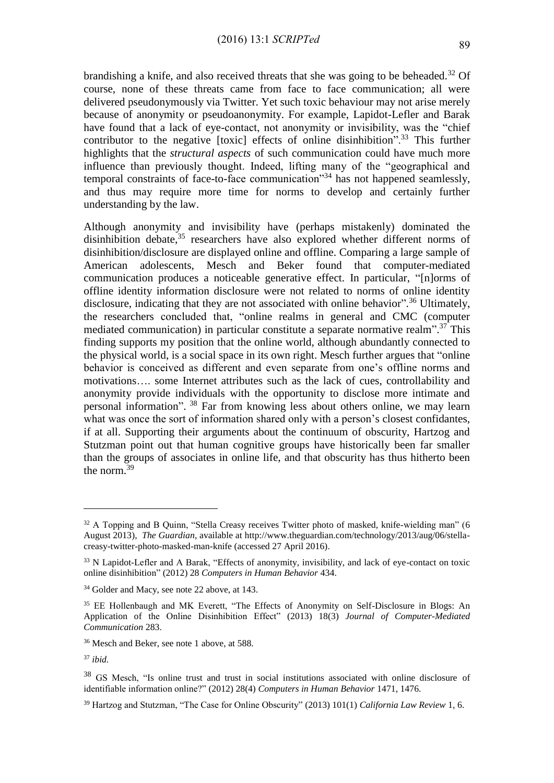brandishing a knife, and also received threats that she was going to be beheaded.<sup>32</sup> Of course, none of these threats came from face to face communication; all were delivered pseudonymously via Twitter. Yet such toxic behaviour may not arise merely because of anonymity or pseudoanonymity. For example, Lapidot-Lefler and Barak have found that a lack of eye-contact, not anonymity or invisibility, was the "chief contributor to the negative [toxic] effects of online disinhibition".<sup>33</sup> This further highlights that the *structural aspects* of such communication could have much more influence than previously thought. Indeed, lifting many of the "geographical and temporal constraints of face-to-face communication"<sup>34</sup> has not happened seamlessly, and thus may require more time for norms to develop and certainly further understanding by the law.

Although anonymity and invisibility have (perhaps mistakenly) dominated the disinhibition debate,<sup>35</sup> researchers have also explored whether different norms of disinhibition/disclosure are displayed online and offline. Comparing a large sample of American adolescents, Mesch and Beker found that computer-mediated communication produces a noticeable generative effect. In particular, "[n]orms of offline identity information disclosure were not related to norms of online identity disclosure, indicating that they are not associated with online behavior".<sup>36</sup> Ultimately, the researchers concluded that, "online realms in general and CMC (computer mediated communication) in particular constitute a separate normative realm".<sup>37</sup> This finding supports my position that the online world, although abundantly connected to the physical world, is a social space in its own right. Mesch further argues that "online behavior is conceived as different and even separate from one's offline norms and motivations…. some Internet attributes such as the lack of cues, controllability and anonymity provide individuals with the opportunity to disclose more intimate and personal information". <sup>38</sup> Far from knowing less about others online, we may learn what was once the sort of information shared only with a person's closest confidantes, if at all. Supporting their arguments about the continuum of obscurity, Hartzog and Stutzman point out that human cognitive groups have historically been far smaller than the groups of associates in online life, and that obscurity has thus hitherto been the norm.<sup>39</sup>

<sup>&</sup>lt;sup>32</sup> A Topping and B Quinn, "Stella Creasy receives Twitter photo of masked, knife-wielding man" (6 August 2013), *The Guardian*, available at [http://www.theguardian.com/technology/2013/aug/06/stella](http://www.theguardian.com/technology/2013/aug/06/stella-creasy-twitter-photo-masked-man-knife)[creasy-twitter-photo-masked-man-knife](http://www.theguardian.com/technology/2013/aug/06/stella-creasy-twitter-photo-masked-man-knife) (accessed 27 April 2016).

<sup>&</sup>lt;sup>33</sup> N Lapidot-Lefler and A Barak, "Effects of anonymity, invisibility, and lack of eye-contact on toxic online disinhibition" (2012) 28 *Computers in Human Behavior* 434.

<sup>34</sup> Golder and Macy, see note 22 above, at 143.

<sup>&</sup>lt;sup>35</sup> EE Hollenbaugh and MK Everett, "The Effects of Anonymity on Self-Disclosure in Blogs: An Application of the Online Disinhibition Effect" (2013) 18(3) *Journal of Computer-Mediated Communication* 283.

<sup>36</sup> Mesch and Beker, see note 1 above, at 588.

<sup>37</sup> *ibid.*

<sup>38</sup> GS Mesch, "Is online trust and trust in social institutions associated with online disclosure of identifiable information online?" (2012) 28(4) *Computers in Human Behavior* 1471, 1476.

<sup>39</sup> Hartzog and Stutzman, "The Case for Online Obscurity" (2013) 101(1) *California Law Review* 1, 6.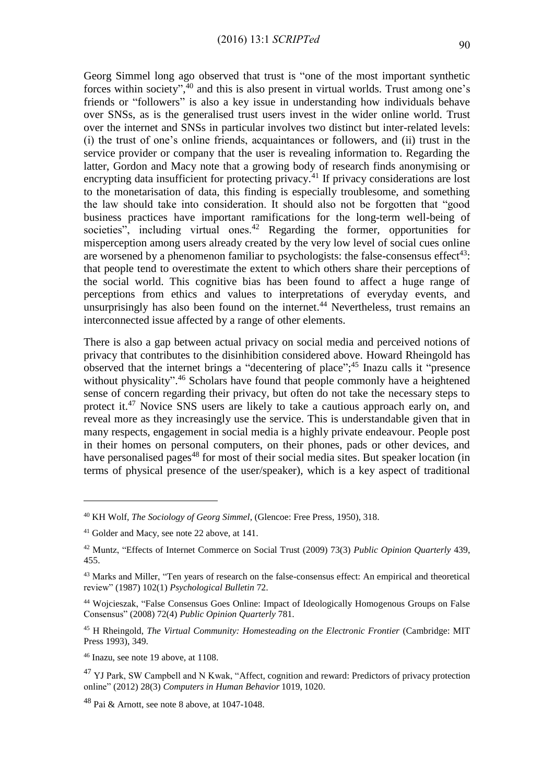Georg Simmel long ago observed that trust is "one of the most important synthetic forces within society",<sup>40</sup> and this is also present in virtual worlds. Trust among one's friends or "followers" is also a key issue in understanding how individuals behave over SNSs, as is the generalised trust users invest in the wider online world. Trust over the internet and SNSs in particular involves two distinct but inter-related levels: (i) the trust of one's online friends, acquaintances or followers, and (ii) trust in the service provider or company that the user is revealing information to. Regarding the latter, Gordon and Macy note that a growing body of research finds anonymising or encrypting data insufficient for protecting privacy.<sup>41</sup> If privacy considerations are lost to the monetarisation of data, this finding is especially troublesome, and something the law should take into consideration. It should also not be forgotten that "good business practices have important ramifications for the long-term well-being of societies", including virtual ones.<sup>42</sup> Regarding the former, opportunities for misperception among users already created by the very low level of social cues online are worsened by a phenomenon familiar to psychologists: the false-consensus effect<sup>43</sup>: that people tend to overestimate the extent to which others share their perceptions of the social world. This cognitive bias has been found to affect a huge range of perceptions from ethics and values to interpretations of everyday events, and unsurprisingly has also been found on the internet. <sup>44</sup> Nevertheless, trust remains an interconnected issue affected by a range of other elements.

There is also a gap between actual privacy on social media and perceived notions of privacy that contributes to the disinhibition considered above. Howard Rheingold has observed that the internet brings a "decentering of place"; <sup>45</sup> Inazu calls it "presence without physicality".<sup>46</sup> Scholars have found that people commonly have a heightened sense of concern regarding their privacy, but often do not take the necessary steps to protect it.<sup>47</sup> Novice SNS users are likely to take a cautious approach early on, and reveal more as they increasingly use the service. This is understandable given that in many respects, engagement in social media is a highly private endeavour. People post in their homes on personal computers, on their phones, pads or other devices, and have personalised pages<sup>48</sup> for most of their social media sites. But speaker location (in terms of physical presence of the user/speaker), which is a key aspect of traditional

<sup>40</sup> KH Wolf, *The Sociology of Georg Simmel*, (Glencoe: Free Press, 1950), 318.

<sup>41</sup> Golder and Macy, see note 22 above, at 141.

<sup>42</sup> Muntz, "Effects of Internet Commerce on Social Trust (2009) 73(3) *Public Opinion Quarterly* 439, 455.

<sup>43</sup> Marks and Miller, "Ten years of research on the false-consensus effect: An empirical and theoretical review" (1987) 102(1) *Psychological Bulletin* 72.

<sup>44</sup> Wojcieszak, "False Consensus Goes Online: Impact of Ideologically Homogenous Groups on False Consensus" (2008) 72(4) *Public Opinion Quarterly* 781.

<sup>45</sup> H Rheingold, *The Virtual Community: Homesteading on the Electronic Frontier* (Cambridge: MIT Press 1993), 349.

<sup>46</sup> Inazu, see note 19 above, at 1108.

<sup>&</sup>lt;sup>47</sup> YJ Park, SW Campbell and N Kwak, "Affect, cognition and reward: Predictors of privacy protection online" (2012) 28(3) *Computers in Human Behavior* 1019, 1020.

 $48$  Pai & Arnott, see note 8 above, at 1047-1048.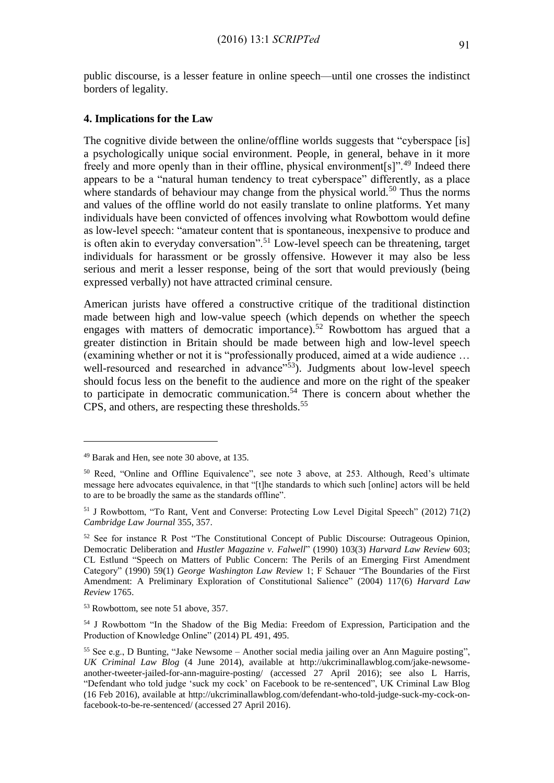public discourse, is a lesser feature in online speech—until one crosses the indistinct borders of legality.

### **4. Implications for the Law**

The cognitive divide between the online/offline worlds suggests that "cyberspace [is] a psychologically unique social environment. People, in general, behave in it more freely and more openly than in their offline, physical environment[s]".<sup>49</sup> Indeed there appears to be a "natural human tendency to treat cyberspace" differently, as a place where standards of behaviour may change from the physical world.<sup>50</sup> Thus the norms and values of the offline world do not easily translate to online platforms. Yet many individuals have been convicted of offences involving what Rowbottom would define as low-level speech: "amateur content that is spontaneous, inexpensive to produce and is often akin to everyday conversation".<sup>51</sup> Low-level speech can be threatening, target individuals for harassment or be grossly offensive. However it may also be less serious and merit a lesser response, being of the sort that would previously (being expressed verbally) not have attracted criminal censure.

American jurists have offered a constructive critique of the traditional distinction made between high and low-value speech (which depends on whether the speech engages with matters of democratic importance).<sup>52</sup> Rowbottom has argued that a greater distinction in Britain should be made between high and low-level speech (examining whether or not it is "professionally produced, aimed at a wide audience … well-resourced and researched in advance"<sup>53</sup>). Judgments about low-level speech should focus less on the benefit to the audience and more on the right of the speaker to participate in democratic communication.<sup>54</sup> There is concern about whether the CPS, and others, are respecting these thresholds.<sup>55</sup>

<u>.</u>

<sup>49</sup> Barak and Hen, see note 30 above, at 135.

<sup>50</sup> Reed, "Online and Offline Equivalence", see note 3 above, at 253. Although, Reed's ultimate message here advocates equivalence, in that "[t]he standards to which such [online] actors will be held to are to be broadly the same as the standards offline".

<sup>51</sup> J Rowbottom, "To Rant, Vent and Converse: Protecting Low Level Digital Speech" (2012) 71(2) *Cambridge Law Journal* 355, 357.

<sup>&</sup>lt;sup>52</sup> See for instance R Post "The Constitutional Concept of Public Discourse: Outrageous Opinion, Democratic Deliberation and *Hustler Magazine v. Falwell*" (1990) 103(3) *Harvard Law Review* 603; CL Estlund "Speech on Matters of Public Concern: The Perils of an Emerging First Amendment Category" (1990) 59(1) *George Washington Law Review* 1; F Schauer "The Boundaries of the First Amendment: A Preliminary Exploration of Constitutional Salience" (2004) 117(6) *Harvard Law Review* 1765.

<sup>53</sup> Rowbottom, see note 51 above, 357.

<sup>54</sup> J Rowbottom "In the Shadow of the Big Media: Freedom of Expression, Participation and the Production of Knowledge Online" (2014) PL 491, 495.

<sup>55</sup> See e.g., D Bunting, "Jake Newsome – Another social media jailing over an Ann Maguire posting", *UK Criminal Law Blog* (4 June 2014), available at [http://ukcriminallawblog.com/jake-newsome](http://ukcriminallawblog.com/jake-newsome-another-tweeter-jailed-for-ann-maguire-posting/)[another-tweeter-jailed-for-ann-maguire-posting/](http://ukcriminallawblog.com/jake-newsome-another-tweeter-jailed-for-ann-maguire-posting/) (accessed 27 April 2016); see also L Harris, "Defendant who told judge 'suck my cock' on Facebook to be re-sentenced", UK Criminal Law Blog (16 Feb 2016), available at [http://ukcriminallawblog.com/defendant-who-told-judge-suck-my-cock-on](http://ukcriminallawblog.com/defendant-who-told-judge-suck-my-cock-on-facebook-to-be-re-sentenced/)[facebook-to-be-re-sentenced/](http://ukcriminallawblog.com/defendant-who-told-judge-suck-my-cock-on-facebook-to-be-re-sentenced/) (accessed 27 April 2016).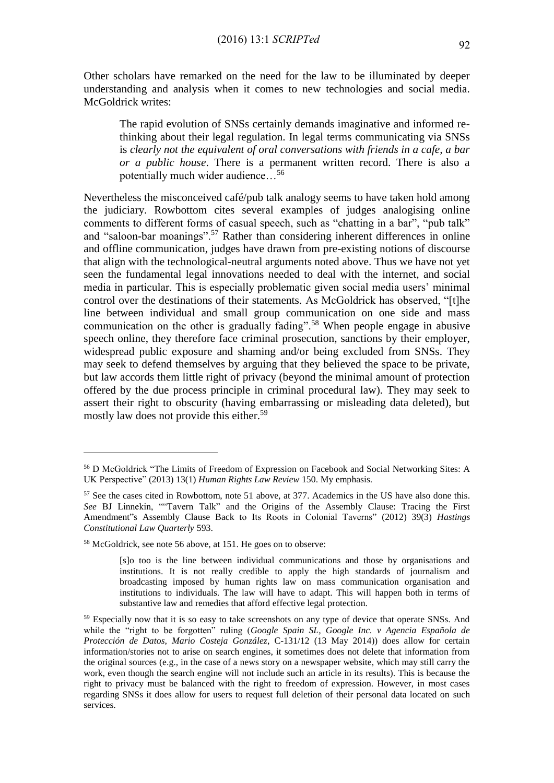Other scholars have remarked on the need for the law to be illuminated by deeper understanding and analysis when it comes to new technologies and social media. McGoldrick writes:

The rapid evolution of SNSs certainly demands imaginative and informed rethinking about their legal regulation. In legal terms communicating via SNSs is *clearly not the equivalent of oral conversations with friends in a cafe, a bar or a public house*. There is a permanent written record. There is also a potentially much wider audience…<sup>56</sup>

Nevertheless the misconceived café/pub talk analogy seems to have taken hold among the judiciary. Rowbottom cites several examples of judges analogising online comments to different forms of casual speech, such as "chatting in a bar", "pub talk" and "saloon-bar moanings".<sup>57</sup> Rather than considering inherent differences in online and offline communication, judges have drawn from pre-existing notions of discourse that align with the technological-neutral arguments noted above. Thus we have not yet seen the fundamental legal innovations needed to deal with the internet, and social media in particular. This is especially problematic given social media users' minimal control over the destinations of their statements. As McGoldrick has observed, "[t]he line between individual and small group communication on one side and mass communication on the other is gradually fading".<sup>58</sup> When people engage in abusive speech online, they therefore face criminal prosecution, sanctions by their employer, widespread public exposure and shaming and/or being excluded from SNSs. They may seek to defend themselves by arguing that they believed the space to be private, but law accords them little right of privacy (beyond the minimal amount of protection offered by the due process principle in criminal procedural law). They may seek to assert their right to obscurity (having embarrassing or misleading data deleted), but mostly law does not provide this either.<sup>59</sup>

<u>.</u>

<sup>56</sup> D McGoldrick "The Limits of Freedom of Expression on Facebook and Social Networking Sites: A UK Perspective" (2013) 13(1) *Human Rights Law Review* 150. My emphasis.

<sup>57</sup> See the cases cited in Rowbottom, note 51 above, at 377. Academics in the US have also done this. *See* BJ Linnekin, ""Tavern Talk" and the Origins of the Assembly Clause: Tracing the First Amendment"s Assembly Clause Back to Its Roots in Colonial Taverns" (2012) 39(3) *Hastings Constitutional Law Quarterly* 593.

<sup>58</sup> McGoldrick, see note 56 above, at 151. He goes on to observe:

<sup>[</sup>s]o too is the line between individual communications and those by organisations and institutions. It is not really credible to apply the high standards of journalism and broadcasting imposed by human rights law on mass communication organisation and institutions to individuals. The law will have to adapt. This will happen both in terms of substantive law and remedies that afford effective legal protection.

<sup>&</sup>lt;sup>59</sup> Especially now that it is so easy to take screenshots on any type of device that operate SNSs. And while the "right to be forgotten" ruling (*Google Spain SL, Google Inc. v Agencia Española de Protección de Datos, Mario Costeja González*, C-131/12 (13 May 2014)) does allow for certain information/stories not to arise on search engines, it sometimes does not delete that information from the original sources (e.g., in the case of a news story on a newspaper website, which may still carry the work, even though the search engine will not include such an article in its results). This is because the right to privacy must be balanced with the right to freedom of expression. However, in most cases regarding SNSs it does allow for users to request full deletion of their personal data located on such services.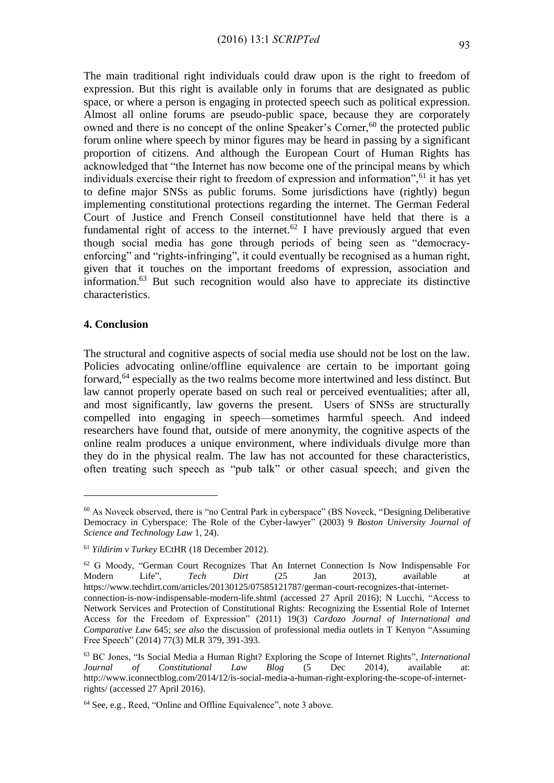The main traditional right individuals could draw upon is the right to freedom of expression. But this right is available only in forums that are designated as public space, or where a person is engaging in protected speech such as political expression. Almost all online forums are pseudo-public space, because they are corporately owned and there is no concept of the online Speaker's Corner,  $60$  the protected public forum online where speech by minor figures may be heard in passing by a significant proportion of citizens. And although the European Court of Human Rights has acknowledged that "the Internet has now become one of the principal means by which individuals exercise their right to freedom of expression and information",<sup>61</sup> it has yet to define major SNSs as public forums. Some jurisdictions have (rightly) begun implementing constitutional protections regarding the internet. The German Federal Court of Justice and French Conseil constitutionnel have held that there is a fundamental right of access to the internet.<sup>62</sup> I have previously argued that even though social media has gone through periods of being seen as "democracyenforcing" and "rights-infringing", it could eventually be recognised as a human right, given that it touches on the important freedoms of expression, association and information.<sup>63</sup> But such recognition would also have to appreciate its distinctive characteristics.

#### **4. Conclusion**

1

The structural and cognitive aspects of social media use should not be lost on the law. Policies advocating online/offline equivalence are certain to be important going forward,<sup>64</sup> especially as the two realms become more intertwined and less distinct. But law cannot properly operate based on such real or perceived eventualities; after all, and most significantly, law governs the present. Users of SNSs are structurally compelled into engaging in speech—sometimes harmful speech. And indeed researchers have found that, outside of mere anonymity, the cognitive aspects of the online realm produces a unique environment, where individuals divulge more than they do in the physical realm. The law has not accounted for these characteristics, often treating such speech as "pub talk" or other casual speech; and given the

 $60$  As Noveck observed, there is "no Central Park in cyberspace" (BS Noveck, "Designing Deliberative") Democracy in Cyberspace: The Role of the Cyber-lawyer" (2003) 9 *Boston University Journal of Science and Technology Law* 1, 24).

<sup>61</sup> *Yildirim v Turkey* ECtHR (18 December 2012).

<sup>62</sup> G Moody, "German Court Recognizes That An Internet Connection Is Now Indispensable For Modern Life", *Tech Dirt* (25 Jan 2013), available at [https://www.techdirt.com/articles/20130125/07585121787/german-court-recognizes-that-internet](https://www.techdirt.com/articles/20130125/07585121787/german-court-recognizes-that-internet-connection-is-now-indispensable-modern-life.shtml)[connection-is-now-indispensable-modern-life.shtml](https://www.techdirt.com/articles/20130125/07585121787/german-court-recognizes-that-internet-connection-is-now-indispensable-modern-life.shtml) (accessed 27 April 2016); N Lucchi, "Access to Network Services and Protection of Constitutional Rights: Recognizing the Essential Role of Internet Access for the Freedom of Expression" (2011) 19(3) *Cardozo Journal of International and Comparative Law* 645; *see also* the discussion of professional media outlets in T Kenyon "Assuming Free Speech" (2014) 77(3) MLR 379, 391-393.

<sup>63</sup> BC Jones, "Is Social Media a Human Right? Exploring the Scope of Internet Rights", *International Journal of Constitutional Law Blog* (5 Dec 2014), available at: [http://www.iconnectblog.com/2014/12/is-social-media-a-human-right-exploring-the-scope-of-internet](http://www.iconnectblog.com/2014/12/is-social-media-a-human-right-exploring-the-scope-of-internet-rights/)[rights/](http://www.iconnectblog.com/2014/12/is-social-media-a-human-right-exploring-the-scope-of-internet-rights/) (accessed 27 April 2016).

<sup>64</sup> See, e.g., Reed, "Online and Offline Equivalence", note 3 above.